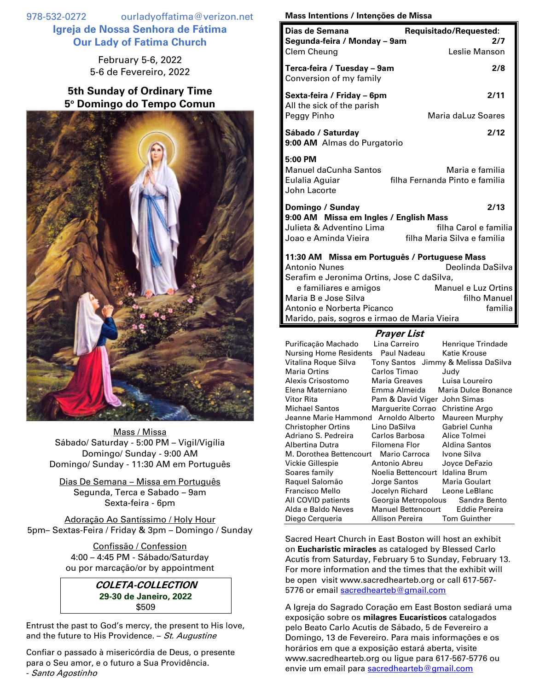978-532-0272 ourladyoffatima@verizon.net **Igreja de Nossa Senhora de Fátima Our Lady of Fatima Church**

> February 5-6, 2022 5-6 de Fevereiro, 2022

## **5th Sunday of Ordinary Time 5 <sup>o</sup> Domingo do Tempo Comun**



Mass / Missa Sábado/ Saturday - 5:00 PM – Vigil/Vigília Domingo/ Sunday - 9:00 AM Domingo/ Sunday - 11:30 AM em Português

Dias De Semana – Missa em Português Segunda, Terca e Sabado – 9am Sexta-feira - 6pm

Adoração Ao Santíssimo / Holy Hour 5pm– Sextas-Feira / Friday & 3pm – Domingo / Sunday

> Confissão / Confession 4:00 – 4:45 PM - Sábado/Saturday ou por marcação/or by appointment

> > **COLETA-COLLECTION 29-30 de Janeiro, 2022** \$509

Entrust the past to God's mercy, the present to His love, and the future to His Providence.  $-$  St. Augustine

Confiar o passado à misericórdia de Deus, o presente para o Seu amor, e o futuro a Sua Providência. - Santo Agostinho

## **Mass Intentions / Intenções de Missa**

| Dias de Semana<br>Segunda-feira / Monday - 9am<br>Clem Cheung                                                                                                                                                                                      | Requisitado/Requested:<br>2/7<br>Leslie Manson                                                                                                                                                     |
|----------------------------------------------------------------------------------------------------------------------------------------------------------------------------------------------------------------------------------------------------|----------------------------------------------------------------------------------------------------------------------------------------------------------------------------------------------------|
| Terca-feira / Tuesday - 9am<br>Conversion of my family                                                                                                                                                                                             | 2/8                                                                                                                                                                                                |
| Sexta-feira / Friday – 6pm<br>All the sick of the parish<br>Peggy Pinho                                                                                                                                                                            | 2/11<br>Maria daLuz Soares                                                                                                                                                                         |
| Sábado / Saturday<br>9:00 AM Almas do Purgatorio                                                                                                                                                                                                   | 2/12                                                                                                                                                                                               |
| 5:00 PM<br><b>Manuel daCunha Santos</b><br>Eulalia Aguiar<br>John Lacorte                                                                                                                                                                          | Maria e familia<br>filha Fernanda Pinto e familia                                                                                                                                                  |
| Domingo / Sunday<br>9:00 AM Missa em Ingles / English Mass<br>Julieta & Adventino Lima<br>Joao e Aminda Vieira                                                                                                                                     | 2/13<br>filha Carol e familia<br>filha Maria Silva e familia                                                                                                                                       |
| 11:30 AM Missa em Português / Portuguese Mass<br><b>Antonio Nunes</b><br>Serafim e Jeronima Ortins, Jose C daSilva,<br>e familiares e amigos<br>Maria B e Jose Silva<br>Antonio e Norberta Picanco<br>Marido, pais, sogros e irmao de Maria Vieira | Deolinda DaSilva<br>Manuel e Luz Ortins<br>filho Manuel<br>familia                                                                                                                                 |
|                                                                                                                                                                                                                                                    | <b>Prayer List</b>                                                                                                                                                                                 |
| Purificação Machado<br>Nursing Home Residents Paul Nadeau<br>Vitalina Roque Silva<br><b>Maria Ortins</b><br>Alexis Crisostomo<br>Flena Materniano                                                                                                  | Lina Carreiro<br>Henrique Trindade<br><b>Katie Krouse</b><br>Tony Santos Jimmy & Melissa DaSilva<br>Carlos Timao<br>Judy<br>Luisa Loureiro<br>Maria Greaves<br>Emma Almeida<br>Maria Dulce Bonance |

| AIGAIS UNSUSIUNIU                    | Malia Ultavto                    | Luisa Luurellu        |
|--------------------------------------|----------------------------------|-----------------------|
| Elena Materniano                     | Emma Almeida                     | Maria Dulce Bonance   |
| Vitor Rita                           | Pam & David Viger John Simas     |                       |
| <b>Michael Santos</b>                | Marquerite Corrao                | <b>Christine Argo</b> |
| Jeanne Marie Hammond Arnoldo Alberto |                                  | <b>Maureen Murphy</b> |
| Christopher Ortins                   | Lino DaSilva                     | <b>Gabriel Cunha</b>  |
| Adriano S. Pedreira                  | Carlos Barbosa                   | Alice Tolmei          |
| Albertina Dutra                      | Filomena Flor                    | <b>Aldina Santos</b>  |
| M. Dorothea Bettencourt              | <b>Mario Carroca</b>             | Ivone Silva           |
| Vickie Gillespie                     | Antonio Abreu                    | Joyce DeFazio         |
| Soares family                        | Noelia Bettencourt               | Idalina Brum          |
| Raguel Salomão                       | Jorge Santos                     | Maria Goulart         |
| Francisco Mello                      | Jocelyn Richard                  | Leone LeBlanc         |
| All COVID patients                   | Georgia Metropolous              | Sandra Bento          |
| Alda e Baldo Neves                   | Manuel Bettencourt Eddie Pereira |                       |
| Diego Cergueria                      | Allison Pereira                  | <b>Tom Guinther</b>   |

Sacred Heart Church in East Boston will host an exhibit on **Eucharistic miracles** as cataloged by Blessed Carlo Acutis from Saturday, February 5 to Sunday, February 13. For more information and the times that the exhibit will be open visit www.sacredhearteb.org or call 617-567 5776 or email [sacredhearteb@gmail.com](mailto:sacredhearteb@gmail.com)

A Igreja do Sagrado Coração em East Boston sediará uma exposição sobre os **milagres Eucarísticos** catalogados pelo Beato Carlo Acutis de Sábado, 5 de Fevereiro a Domingo, 13 de Fevereiro. Para mais informações e os horários em que a exposição estará aberta, visite www.sacredhearteb.org ou ligue para 617-567-5776 ou envie um email para [sacredhearteb@gmail.com](mailto:sacredhearteb@gmail.com)